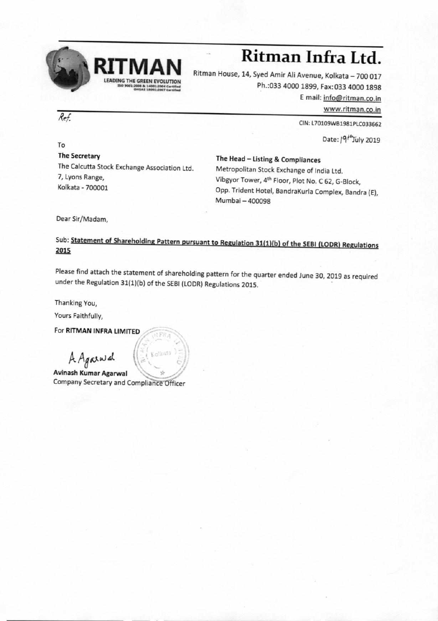

## **Ritman Infra Ltd.**<br><sup>Ritman House, 14, Syed Amir Ali Avenue, Kolkata – 700 017</sup>

Ph.:033 4000 1899, Fax: 033 4000 1898 E mail: info@ritman.co.in www.ritman.co.in

CIN: L70109W81981PLC033662

Date: /9<sup>/\*</sup>July 2019

To The Secretary The Calcutta Stock Exchange Association Ltd. 7, Lyons Range, Kolkata - 700001

The Head — Listing & Compliances Metropolitan Stock Exchange of India Ltd. Vibgyor Tower, 4th Floor, Plot No. C 62, G-Block, Opp. Trident Hotel, BandraKurla Complex, Bandra (E), Mumbai —400098

Dear Sir/Madam,

## Sub: Statement of Shareholding Pattern pursuant to Regulation 31(1)(b) of the SEBI (LODR) Regulations 2015

Please find attach the statement of shareholding pattern for the quarter ended June 30, 2019 as required under the Regulation 31(1)(b) of the SEBI (LODR) Regulations 2015.

Thanking You,

Yours Faithfully,

For RITMAN INFRA LIMITED

A *Affo* dt

Avinash Kumar Agarwal Company Secretary and Compliance Officer

Kolkata

Ref.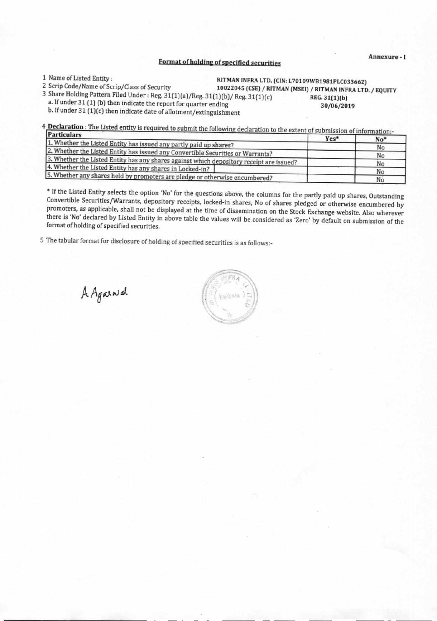## **Format of holding of specified securities**

**<sup>1</sup>**Name of Listed Entity : **RITMAN INFRA LTD. (CIN: L70109WB1981PLC033662)** 

2 Scrip Code/Name of Scrip/Class of Security **10022045 (CSE) / RITMAN (MSEI) / RITMAN INFRA LTD. / EQUITY** 

3 Share Holding Pattern Filed Under: Reg. 31(1)(a)/Reg. 31(1)(b)/ Reg. 31(1)(c) REG. 31(1)(b)<br>a. If under 31 (1) (b) then indicate the report for quarter ending 30/06/20

a. If under 31 (1) (b) then indicate the report for quarter ending 30/06/2019 30/06/2019 b. If under 31 (1)(c) then indicate date of allotment/extinguishment

4 **Declaration :** The Listed entity is required to submit the following declaration to the extent of submission of information:-<br>**Particulars Particulars** 

| 1.91 U U U 313                                                                           | Yes* | No* |
|------------------------------------------------------------------------------------------|------|-----|
| 1. Whether the Listed Entity has issued any partly paid up shares?                       |      | No  |
| 2. Whether the Listed Entity has issued any Convertible Securities or Warrants?          |      | No  |
| 3. Whether the Listed Entity has any shares against which depository receipt are issued? |      | No  |
| 4. Whether the Listed Entity has any shares in Locked-in?                                |      | No  |
| 5. Whether any shares held by promoters are pledge or otherwise encumbered?              |      | No  |

\* If the Listed Entity selects the option 'No' for the questions above, the columns for the partly paid up shares, Outstanding Convertible Securities/Warrants, depository receipts, locked-in shares, No of shares pledged or otherwise encumbered by promoters, as applicable, shall not be displayed at the time of dissemination on the Stock Exchange website. Also wherever there is 'No' declared by Listed Entity in above table the values will be considered as 'Zero' by default on submission of the format of holding of specified securities.

5 The tabular format for disclosure of holding of specified securities is as follows:-

•

 $A$ *Ag*<sup>a</sup>

**Annexure - I**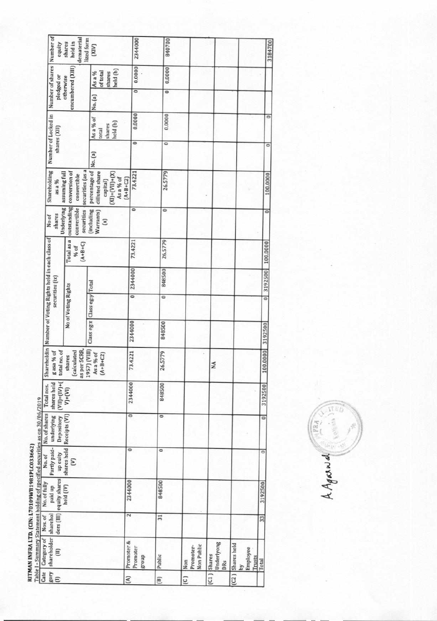RITMAN INFRA LTD. (CIN: L70109WB1981PLC033662)<br>Table 1 - Summary Statement holding of specified securities as on 30/06/2019

|                                                             | equity                                                                                                                   | dematerial<br>lized form<br>held in<br>shares         | (XIV)                                                                                          | 2344000                          | 840700                   |                                |                             |                                         | 3184700                  |
|-------------------------------------------------------------|--------------------------------------------------------------------------------------------------------------------------|-------------------------------------------------------|------------------------------------------------------------------------------------------------|----------------------------------|--------------------------|--------------------------------|-----------------------------|-----------------------------------------|--------------------------|
|                                                             | Number of shares   Number of<br>encumbered (XIII)<br>held (b)<br>of total<br>shares<br>As a %<br>pledged or<br>otherwise |                                                       | 0.0000                                                                                         | 0.0000                           |                          |                                |                             |                                         |                          |
|                                                             |                                                                                                                          |                                                       | No. (a)                                                                                        | $\overline{\phantom{0}}$         | $\overline{\circ}$       |                                |                             |                                         |                          |
|                                                             | Number of Locked in<br>shares (XII)                                                                                      |                                                       | As a % of<br>held (b)<br>shares<br>total                                                       | 0.0000                           | 0.0000                   |                                |                             |                                         | $\circ$                  |
|                                                             |                                                                                                                          |                                                       | No. (a)                                                                                        | $\circ$                          | 0                        |                                |                             |                                         | $\circ$                  |
|                                                             | Shareholding<br>assuming full<br>as a %                                                                                  | securities (as a<br>conversion of<br>convertible      | percentage of<br>dilluted share<br>$(XI) = (VII) + (X)$<br>As a % of<br>$(A+B+C2)$<br>capital) | 73.4221                          | 26.5779                  |                                |                             |                                         | 100.0000                 |
| No of                                                       | Underlying<br>shares                                                                                                     | outstanding<br>convertible<br>securities              | (including<br>Warrants)<br>$\mathbf{E}$                                                        | $\circ$                          | 0                        |                                |                             |                                         | $\overline{\phantom{0}}$ |
|                                                             |                                                                                                                          | Total as a<br>$(A+B+C)$<br>% of                       |                                                                                                | 73,4221                          | 26,5779                  |                                |                             |                                         | 100,0000                 |
|                                                             | securities (ix)                                                                                                          |                                                       |                                                                                                | 2344000                          | 848500                   |                                |                             |                                         | 3192500                  |
|                                                             |                                                                                                                          | Class eg:x Class eg:y Total<br>No of Voting Rights    |                                                                                                | $\overline{\circ}$               | $\overline{\phantom{0}}$ |                                |                             |                                         | ō                        |
|                                                             |                                                                                                                          |                                                       |                                                                                                | 2344000                          | 848500                   |                                |                             |                                         | 3192500                  |
| Shareholdin   Number of Voting Rights held in each class of | total no. of<br>g asa % of                                                                                               | as per SCRR.<br>1957) (VIII)<br>(calculated<br>shares | $As a \% of (A+BrC2)$                                                                          | 73.4221                          | 26.5779                  |                                | MA                          |                                         | 100,0000                 |
| Total nos.                                                  | shares held<br>$(VII) = (IV)+($                                                                                          | $V) + (VI)$                                           |                                                                                                | 2344000                          | 848500                   |                                |                             |                                         | 3192500                  |
| TA71001001<br>No. of shares                                 | underlying<br>Depository                                                                                                 | Receipts (VI)                                         |                                                                                                | $\overline{\phantom{0}}$         | $\circ$                  |                                |                             |                                         | $\overline{\phantom{0}}$ |
| No.of                                                       | Partly paid-<br>up euity                                                                                                 | shares held<br>ε                                      |                                                                                                | $\circ$                          | 0                        |                                |                             |                                         | $\circ$                  |
| No. of fully                                                | ders (III) equity shares<br>paid up                                                                                      | held (IV)                                             |                                                                                                | 2344000                          | 848500                   |                                |                             |                                         | 3192500                  |
|                                                             | sharehol                                                                                                                 |                                                       |                                                                                                | Z                                | $\overline{31}$          |                                |                             |                                         | 33                       |
| Category of Nos. of                                         | shareholder<br>Ξ                                                                                                         |                                                       |                                                                                                | Promoter &<br>Promoter<br>dno.fa | Public                   | Non Public<br>Promoter-<br>Non | Underlyong<br>Shares<br>DRs | Shares held<br>Employee<br>Trusts<br>Σy | Total                    |
| Cate                                                        | $\frac{1}{4}$                                                                                                            |                                                       |                                                                                                | E                                | $\Xi$                    | G                              | $\overline{c}$              | $\overline{c}$                          |                          |

FRA AAgand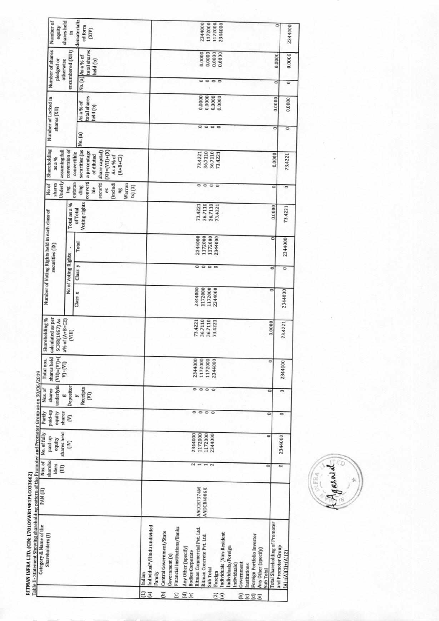|                                                                          | Table II- Statement Showing shareholding pattern of the Promoter and Promoter Group as on 30/06/2019<br>Category & Name of the                                                                                                                                                                                                                                                                                                                    | PAN (II)                 | Nos. of                                           | No. of fully                                        | Partly                                                      | Nos. of                         | Total nos.                                       | Shareholding %                                              |                                          |                            | Number of Voting Rights held in each class of |                                          |                                                                                                 |                                                                                                                                      |              |                                       |                                       |                                               |                                          |
|--------------------------------------------------------------------------|---------------------------------------------------------------------------------------------------------------------------------------------------------------------------------------------------------------------------------------------------------------------------------------------------------------------------------------------------------------------------------------------------------------------------------------------------|--------------------------|---------------------------------------------------|-----------------------------------------------------|-------------------------------------------------------------|---------------------------------|--------------------------------------------------|-------------------------------------------------------------|------------------------------------------|----------------------------|-----------------------------------------------|------------------------------------------|-------------------------------------------------------------------------------------------------|--------------------------------------------------------------------------------------------------------------------------------------|--------------|---------------------------------------|---------------------------------------|-----------------------------------------------|------------------------------------------|
|                                                                          | Shareholders (I)                                                                                                                                                                                                                                                                                                                                                                                                                                  |                          | shareho<br>Iders<br>E                             | shares held<br>paid up<br>equity                    | qu-binq<br>equity<br>shares                                 | underlyin<br>shares<br>60       | shares held<br>$(VII) = (VI) + ($<br>$V_1+ (VI)$ | calculated as per<br><b>SCRR(1957) As</b><br>a% of (A+B+C2) |                                          |                            | securities (IX)                               |                                          | Underly<br>shares<br>No of                                                                      | Shareholding<br>assuming full<br>as a %                                                                                              | shares (XII) | Number of Locked in                   |                                       | Number of shares<br>pledged or<br>otherwise   | shares held<br>Number of<br>equity       |
|                                                                          |                                                                                                                                                                                                                                                                                                                                                                                                                                                   |                          |                                                   | E                                                   | ε                                                           | Depositor                       |                                                  | (IIII)                                                      |                                          | <b>No of Voting Rights</b> |                                               | Total as a %                             | lng                                                                                             | conversion of                                                                                                                        |              |                                       |                                       | encumbered (XIII)                             | s                                        |
|                                                                          |                                                                                                                                                                                                                                                                                                                                                                                                                                                   |                          |                                                   |                                                     |                                                             | Receipts<br>E<br>$\overline{ }$ |                                                  |                                                             | Class x                                  | Class y                    | Total                                         | Voting rights<br>of Total                | converti<br>outstan<br>securiti<br>(includi<br>Warran<br>ding<br>$(s)$ $(X)$<br>ble<br>es<br>la | securities (as<br>$(X1) = (V11) + (X)$<br>share capital)<br>convertible<br>a percentage<br>of diluted<br>As a % of<br>$(A + B + C2)$ | No. (a)      | total shares<br>As a % of<br>held (b) |                                       | total shares<br>No. (a) As a % of<br>held (b) | dematerializ<br>ed form<br>(XIV)         |
| $\Xi$<br>Ξ<br>E<br>$\Xi$<br>$\Xi$<br>$\Xi$<br>$\overline{2}$<br>ees<br>Θ | Individual <sup>®</sup> /Hindu undivided<br>Financial Institutions/Banks<br>Ritman Commercial Pvt. Ltd.<br>Central Government/State<br>ndividuals (Non-Resident<br>Foreign Portfolio Investor<br>Ritman Concrete Pvt. Ltd.<br>Individuals/Foreign<br>Any Other (specify)<br>Any Other (specify)<br><b>Bodies Corporate</b><br>Government (s)<br>Government<br>ndividuals)<br>nstitutions<br>Sub Total<br>Sub Total<br>Foreign<br>Family<br>Indian | AACCR7374M<br>AADCR4006K | 2<br>$-1$ $\sim$<br>$\overline{\phantom{a}}$<br>c | 2344000<br>1172000<br>1172000<br>2344000<br>$\circ$ | $\begin{array}{c} \circ \\ \circ \\ \circ \end{array}$<br>0 | $\circ$<br>$\circ$<br>O         | 2344000<br>1172000<br>1172000<br>2344000         | 36.7110<br>36.7110<br>73.4221<br>73.4221                    | 2344000<br>1172000<br>1172000<br>2344000 | 0000                       | 2344000<br>1172000<br>1172000<br>2344000      | 36.7110<br>36.7110<br>73.4221<br>73.4221 | 0000                                                                                            | 36.7110<br>36.7110<br>73.4221<br>73.4221                                                                                             | 0000         | 0.0000<br>0.0000<br>0.0000<br>0.0000  | $\circ$<br>$\circ$<br>$\circ$ $\circ$ | 0.0000<br>0.0000<br>0,0000<br>0.0000          | 2344000<br>1172000<br>1172000<br>2344000 |
|                                                                          | <b>Total Shareholding of Promoter</b>                                                                                                                                                                                                                                                                                                                                                                                                             |                          |                                                   |                                                     |                                                             |                                 | $\circ$                                          | 0,0000                                                      | $\circ$                                  | õ                          | $\overline{\phantom{a}}$                      | 0.0000                                   | ಠ                                                                                               | 0.0000                                                                                                                               | ٥            | 0.0000                                | ö                                     | 0.0000                                        | ۰                                        |
|                                                                          | and Promoter Group<br>$A = A[(1) + (A)[2]$                                                                                                                                                                                                                                                                                                                                                                                                        |                          | Z                                                 | 2344000                                             | ۰                                                           | $\overline{0}$                  | 2344000                                          | 73.4221                                                     | 2344000                                  | ۰                          | 2344000                                       | 73.4221                                  | $\overline{\phantom{a}}$                                                                        | 73.4221                                                                                                                              | ۰            | 0.0000                                |                                       | 0.0000                                        |                                          |

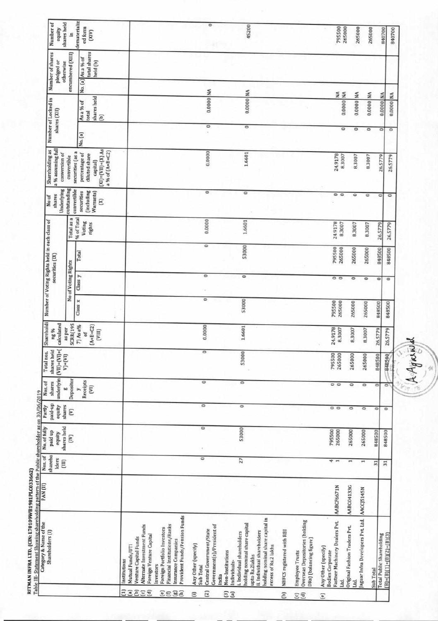| shares held<br>Number of<br>equity<br>S                              | dematerializ<br>ed form<br>(200)                                                                        |                                                                                                                                                                                                                                                                                       | $\circ$                                                                                                  | 45200                                                                                                                                                                                                        |                           |                                                                                            | 795500<br>265000                                                                         | 265000                                | 265000                            |                                        | 840700<br>840700               |
|----------------------------------------------------------------------|---------------------------------------------------------------------------------------------------------|---------------------------------------------------------------------------------------------------------------------------------------------------------------------------------------------------------------------------------------------------------------------------------------|----------------------------------------------------------------------------------------------------------|--------------------------------------------------------------------------------------------------------------------------------------------------------------------------------------------------------------|---------------------------|--------------------------------------------------------------------------------------------|------------------------------------------------------------------------------------------|---------------------------------------|-----------------------------------|----------------------------------------|--------------------------------|
| Number of shares<br>encumbered [XIII]<br>pledged or<br>otherwise     | total shares<br>As a % of<br>held (b)                                                                   |                                                                                                                                                                                                                                                                                       |                                                                                                          |                                                                                                                                                                                                              |                           |                                                                                            |                                                                                          |                                       |                                   |                                        |                                |
|                                                                      | No. (a)                                                                                                 |                                                                                                                                                                                                                                                                                       |                                                                                                          |                                                                                                                                                                                                              |                           |                                                                                            | ≨≨                                                                                       |                                       |                                   |                                        |                                |
| Number of Locked in<br>shares (XII)                                  | shares held<br>As a % of<br>total<br>$\Xi$                                                              |                                                                                                                                                                                                                                                                                       | 0.0000 NA                                                                                                | 0.0000 NA                                                                                                                                                                                                    |                           |                                                                                            | 0.0000                                                                                   | 0.0000 NA                             | 0.0000 NA                         |                                        | 0.0000 NA<br>0.0000 NA         |
|                                                                      | No. (a)                                                                                                 |                                                                                                                                                                                                                                                                                       | $\circ$                                                                                                  | $\overline{\phantom{0}}$                                                                                                                                                                                     |                           |                                                                                            | $\circ$                                                                                  | 0                                     | $\circ$                           |                                        | $\circ$<br>$\circ$             |
| a % assuming full<br>Shareholding as<br>conversion of<br>convertible | $(X)=(VII)+(X)$ As<br>a % of (A+B+C2)<br>securities (as a<br>percentage of<br>diluted share<br>capital) |                                                                                                                                                                                                                                                                                       | 0.0000                                                                                                   | 1.6601                                                                                                                                                                                                       |                           |                                                                                            | 24.9178<br>8.3007                                                                        | 8.3007                                | 8.3007                            |                                        | 26.5779<br>26,5779             |
| Underlying<br>outstanding<br>convertible<br>shares<br>No of          | (including<br>Warrants)<br>securities<br>g                                                              |                                                                                                                                                                                                                                                                                       | ۰                                                                                                        | $\circ$                                                                                                                                                                                                      |                           |                                                                                            | $\circ$                                                                                  | $\circ$                               | ۰                                 | $\circ$                                | $\circ$                        |
| Total as a                                                           | % of Total<br>Voting<br>rights                                                                          |                                                                                                                                                                                                                                                                                       | 0.0000                                                                                                   | 1.6601                                                                                                                                                                                                       |                           |                                                                                            | 24.9178<br>8,3007                                                                        | 8,3007                                | 8.3007                            | 26.5779                                | 26.5779                        |
| Number of Voting Rights held in each class of<br>securities (IX)     | Total                                                                                                   |                                                                                                                                                                                                                                                                                       | ۰                                                                                                        | 53000                                                                                                                                                                                                        |                           |                                                                                            | 795500<br>265000                                                                         | 265000                                | 265000                            | 848500                                 | 848500                         |
| No of Voting Rights                                                  | Class y                                                                                                 |                                                                                                                                                                                                                                                                                       | ۰                                                                                                        | ۰                                                                                                                                                                                                            |                           |                                                                                            | $\circ$ $\circ$                                                                          | $\circ$                               | ۰                                 | ۰                                      | ۰                              |
|                                                                      | Class x                                                                                                 |                                                                                                                                                                                                                                                                                       | $\circ$                                                                                                  | 53000                                                                                                                                                                                                        |                           |                                                                                            | 795500<br>265000                                                                         | 265000                                | 265000                            | 848500                                 | 848500                         |
| Shareholdi<br>calculated<br><b>SCRR(195</b><br>as per<br>ng %        | $(A+ B + C2)$<br>7) As a%<br>[VIII]<br>ō                                                                |                                                                                                                                                                                                                                                                                       | 0.0000                                                                                                   | 1.6601                                                                                                                                                                                                       |                           |                                                                                            | 24.9178<br>8.3007                                                                        | 8,3007                                | 8.3007                            | 26,5779                                | 26.5779                        |
| shares held<br>$(W) = (W) + (W)$<br>Total nos.<br>$V) + (VI)$        |                                                                                                         |                                                                                                                                                                                                                                                                                       | $\circ$                                                                                                  | 53000                                                                                                                                                                                                        |                           |                                                                                            | 795500<br>265000                                                                         | 265000                                | 265000                            | 848500                                 | 848500                         |
| underlyin<br>Depositor<br>shares<br>Nos. of<br>50                    | Receipts<br>E<br>S,                                                                                     |                                                                                                                                                                                                                                                                                       | $\circ$                                                                                                  | $\circ$                                                                                                                                                                                                      |                           |                                                                                            | $\circ$ $\circ$                                                                          | $\circ$                               | $\circ$                           | $\circ$                                | $\circ$                        |
| paid-up<br>equity<br>Partly<br>shares<br>ε                           |                                                                                                         |                                                                                                                                                                                                                                                                                       | ۰                                                                                                        | $\circ$                                                                                                                                                                                                      |                           |                                                                                            | $\circ$ $\circ$                                                                          | $\circ$                               | $\circ$                           | $\circ$                                | $\circ$                        |
| shares held<br>No. of fully<br>paid up<br>equity<br>E                |                                                                                                         |                                                                                                                                                                                                                                                                                       | ۰                                                                                                        | 53000                                                                                                                                                                                                        |                           |                                                                                            | 795500<br>265000                                                                         | 265000                                | 265000                            | 848500                                 | 848500                         |
| shareho<br>Iders<br>Ξ                                                |                                                                                                         |                                                                                                                                                                                                                                                                                       | $\circ$                                                                                                  | 27                                                                                                                                                                                                           |                           |                                                                                            | t                                                                                        | ⊶                                     |                                   | 51                                     | $\overline{31}$                |
|                                                                      |                                                                                                         |                                                                                                                                                                                                                                                                                       |                                                                                                          |                                                                                                                                                                                                              |                           |                                                                                            | AABCF6671N                                                                               | AABC04133G                            | AACCJ5145N                        |                                        |                                |
| Shareholders (I)                                                     |                                                                                                         | Provident Funds/Pension Funds<br>Alternate Investment Funds<br>Financial Institutions/Banks<br>Foreign Portfolio Investors<br><b>Foreign Venture Capital</b><br>Venture Capital Funds<br>Insurance Companies<br>Mutual Funds/UT1<br>Institutions<br>Investors<br>日耳耳切音<br><u>ຄອສລ</u> | Government(s)/President of<br>Central Government/State<br>Any Other (specify)<br>Sub Total<br>India<br>ឆ | holding nominal share capital in<br>holding nominal share capital<br>ii. Individual shareholders<br>i. Individual shareholders<br>excess of Rs.2 lakhs<br>Non-Institutions<br>upto Rs.2lakhs<br>Individuals- | NBFCS registered with RBI | <b>Overseas Depositories (holding</b><br>DRs) (balancing figure)<br><b>Employee Trusts</b> | Fastner Machinery Dealers Pvt.<br>Any Other (specify)<br><b>Bodies</b> Corporate<br>Ltd. | Original Fashion Traders Pvt.<br>Ltd. | Jaguar Infra Developers Pvt. Ltd. | Total Public Shareholding<br>Sub Total | $B = (B)(1) + (B)(2) + (B)(3)$ |

RITMAN INFRA LTD. (CIN: L70109WB1981PLC033662)<br>Table III- Statement Showing shareholding pattern of the Public shareholder as on 30/06/2019

AAgama ó